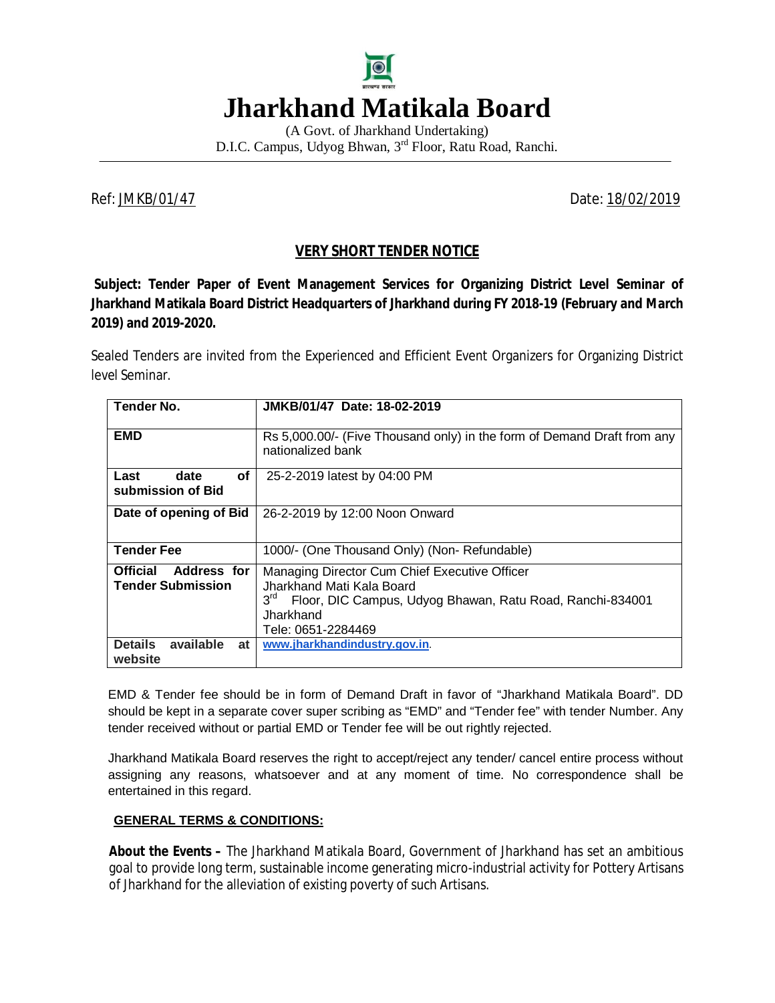

(A Govt. of Jharkhand Undertaking) D.I.C. Campus, Udyog Bhwan, 3rd Floor, Ratu Road, Ranchi.

Ref: JMKB/01/47 Date: 18/02/2019

# **VERY SHORT TENDER NOTICE**

**Subject: Tender Paper of Event Management Services for Organizing District Level Seminar of Jharkhand Matikala Board District Headquarters of Jharkhand during FY 2018-19 (February and March 2019) and 2019-2020.** 

Sealed Tenders are invited from the Experienced and Efficient Event Organizers for Organizing District level Seminar.

| <b>Tender No.</b>                                                 | JMKB/01/47 Date: 18-02-2019                                                                                                                                                                   |
|-------------------------------------------------------------------|-----------------------------------------------------------------------------------------------------------------------------------------------------------------------------------------------|
| <b>EMD</b>                                                        | Rs 5,000.00/- (Five Thousand only) in the form of Demand Draft from any<br>nationalized bank                                                                                                  |
| оf<br>Last<br>date<br>submission of Bid                           | 25-2-2019 latest by 04:00 PM                                                                                                                                                                  |
| Date of opening of Bid                                            | 26-2-2019 by 12:00 Noon Onward                                                                                                                                                                |
| <b>Tender Fee</b>                                                 | 1000/- (One Thousand Only) (Non-Refundable)                                                                                                                                                   |
| <b>Address for</b><br><b>Official</b><br><b>Tender Submission</b> | Managing Director Cum Chief Executive Officer<br>Jharkhand Mati Kala Board<br>3 <sup>rd</sup><br>Floor, DIC Campus, Udyog Bhawan, Ratu Road, Ranchi-834001<br>Jharkhand<br>Tele: 0651-2284469 |
| <b>Details</b><br>available<br>at<br>website                      | www.jharkhandindustry.gov.in.                                                                                                                                                                 |

EMD & Tender fee should be in form of Demand Draft in favor of "Jharkhand Matikala Board". DD should be kept in a separate cover super scribing as "EMD" and "Tender fee" with tender Number. Any tender received without or partial EMD or Tender fee will be out rightly rejected.

Jharkhand Matikala Board reserves the right to accept/reject any tender/ cancel entire process without assigning any reasons, whatsoever and at any moment of time. No correspondence shall be entertained in this regard.

#### **GENERAL TERMS & CONDITIONS:**

**About the Events –** The Jharkhand Matikala Board, Government of Jharkhand has set an ambitious goal to provide long term, sustainable income generating micro-industrial activity for Pottery Artisans of Jharkhand for the alleviation of existing poverty of such Artisans.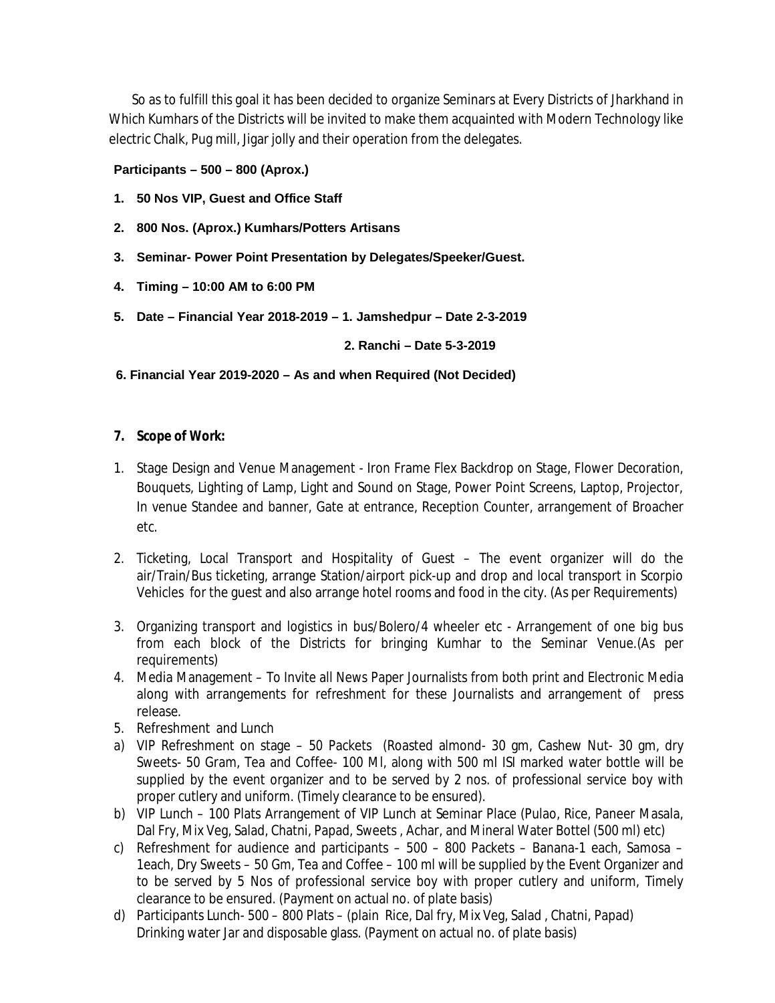So as to fulfill this goal it has been decided to organize Seminars at Every Districts of Jharkhand in Which Kumhars of the Districts will be invited to make them acquainted with Modern Technology like electric Chalk, Pug mill, Jigar jolly and their operation from the delegates.

#### **Participants – 500 – 800 (Aprox.)**

- **1. 50 Nos VIP, Guest and Office Staff**
- **2. 800 Nos. (Aprox.) Kumhars/Potters Artisans**
- **3. Seminar- Power Point Presentation by Delegates/Speeker/Guest.**
- **4. Timing – 10:00 AM to 6:00 PM**
- **5. Date – Financial Year 2018-2019 – 1. Jamshedpur – Date 2-3-2019**

 **2. Ranchi – Date 5-3-2019**

 **6. Financial Year 2019-2020 – As and when Required (Not Decided)** 

## **7. Scope of Work:**

- 1. Stage Design and Venue Management Iron Frame Flex Backdrop on Stage, Flower Decoration, Bouquets, Lighting of Lamp, Light and Sound on Stage, Power Point Screens, Laptop, Projector, In venue Standee and banner, Gate at entrance, Reception Counter, arrangement of Broacher etc.
- 2. Ticketing, Local Transport and Hospitality of Guest The event organizer will do the air/Train/Bus ticketing, arrange Station/airport pick-up and drop and local transport in Scorpio Vehicles for the guest and also arrange hotel rooms and food in the city. (As per Requirements)
- 3. Organizing transport and logistics in bus/Bolero/4 wheeler etc Arrangement of one big bus from each block of the Districts for bringing Kumhar to the Seminar Venue.(As per requirements)
- 4. Media Management To Invite all News Paper Journalists from both print and Electronic Media along with arrangements for refreshment for these Journalists and arrangement of press release.
- 5. Refreshment and Lunch
- a) VIP Refreshment on stage 50 Packets (Roasted almond- 30 gm, Cashew Nut- 30 gm, dry Sweets- 50 Gram, Tea and Coffee- 100 MI, along with 500 ml ISI marked water bottle will be supplied by the event organizer and to be served by 2 nos. of professional service boy with proper cutlery and uniform. (Timely clearance to be ensured).
- b) VIP Lunch 100 Plats Arrangement of VIP Lunch at Seminar Place (Pulao, Rice, Paneer Masala, Dal Fry, Mix Veg, Salad, Chatni, Papad, Sweets , Achar, and Mineral Water Bottel (500 ml) etc)
- c) Refreshment for audience and participants 500 800 Packets Banana-1 each, Samosa 1each, Dry Sweets – 50 Gm, Tea and Coffee – 100 ml will be supplied by the Event Organizer and to be served by 5 Nos of professional service boy with proper cutlery and uniform, Timely clearance to be ensured. (Payment on actual no. of plate basis)
- d) Participants Lunch- 500 800 Plats (plain Rice, Dal fry, Mix Veg, Salad , Chatni, Papad) Drinking water Jar and disposable glass. (Payment on actual no. of plate basis)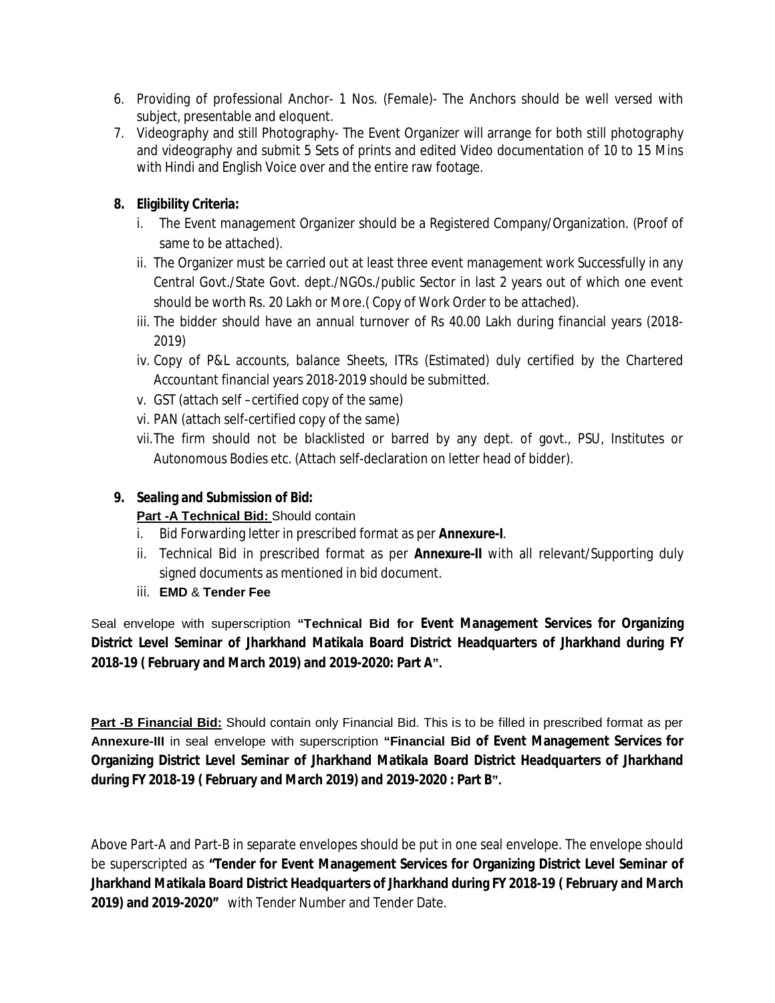- 6. Providing of professional Anchor- 1 Nos. (Female)- The Anchors should be well versed with subject, presentable and eloquent.
- 7. Videography and still Photography- The Event Organizer will arrange for both still photography and videography and submit 5 Sets of prints and edited Video documentation of 10 to 15 Mins with Hindi and English Voice over and the entire raw footage.

# **8. Eligibility Criteria:**

- i. The Event management Organizer should be a Registered Company/Organization. (Proof of same to be attached).
- ii. The Organizer must be carried out at least three event management work Successfully in any Central Govt./State Govt. dept./NGOs./public Sector in last 2 years out of which one event should be worth Rs. 20 Lakh or More.( Copy of Work Order to be attached).
- iii. The bidder should have an annual turnover of Rs 40.00 Lakh during financial years (2018- 2019)
- iv. Copy of P&L accounts, balance Sheets, ITRs (Estimated) duly certified by the Chartered Accountant financial years 2018-2019 should be submitted.
- v. GST (attach self –certified copy of the same)
- vi. PAN (attach self-certified copy of the same)
- vii.The firm should not be blacklisted or barred by any dept. of govt., PSU, Institutes or Autonomous Bodies etc. (Attach self-declaration on letter head of bidder).

## **9. Sealing and Submission of Bid:**

## **Part -A Technical Bid:** Should contain

- i. Bid Forwarding letter in prescribed format as per **Annexure-I**.
- ii. Technical Bid in prescribed format as per **Annexure-II** with all relevant/Supporting duly signed documents as mentioned in bid document.
- iii. **EMD** & **Tender Fee**

Seal envelope with superscription **"Technical Bid for Event Management Services for Organizing District Level Seminar of Jharkhand Matikala Board District Headquarters of Jharkhand during FY 2018-19 ( February and March 2019) and 2019-2020: Part A".**

**Part -B Financial Bid:** Should contain only Financial Bid. This is to be filled in prescribed format as per **Annexure-III** in seal envelope with superscription **"Financial Bid of Event Management Services for Organizing District Level Seminar of Jharkhand Matikala Board District Headquarters of Jharkhand during FY 2018-19 ( February and March 2019) and 2019-2020 : Part B".**

Above Part-A and Part-B in separate envelopes should be put in one seal envelope. The envelope should be superscripted as **"Tender for Event Management Services for Organizing District Level Seminar of Jharkhand Matikala Board District Headquarters of Jharkhand during FY 2018-19 ( February and March 2019) and 2019-2020"** with Tender Number and Tender Date.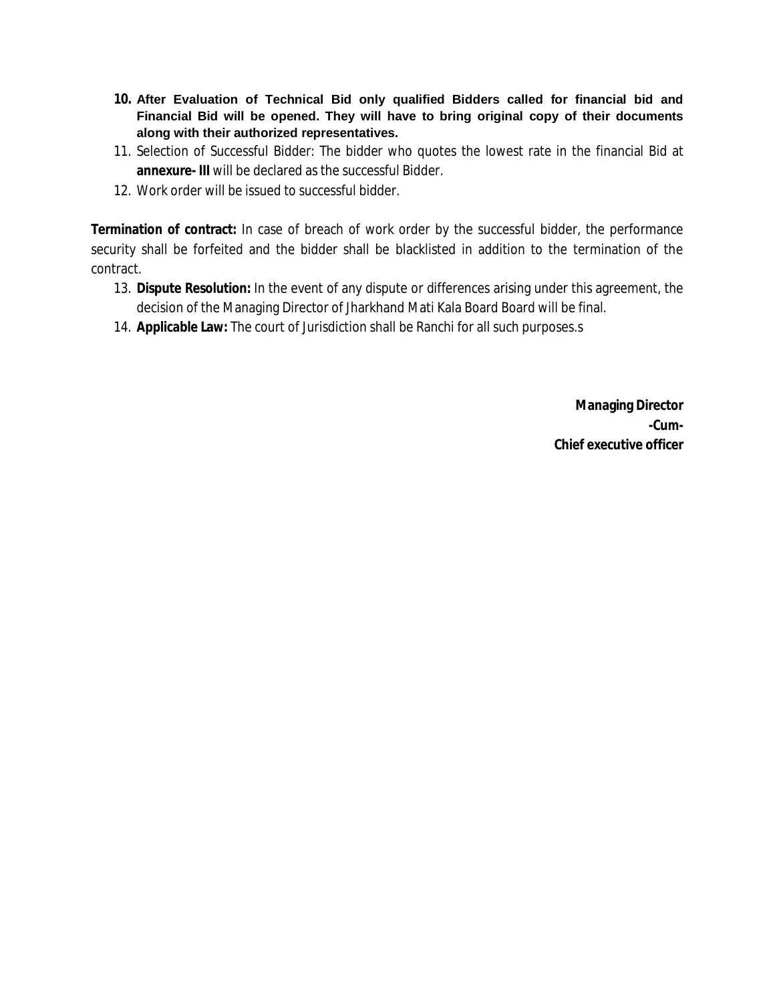- **10. After Evaluation of Technical Bid only qualified Bidders called for financial bid and Financial Bid will be opened. They will have to bring original copy of their documents along with their authorized representatives.**
- 11. Selection of Successful Bidder: The bidder who quotes the lowest rate in the financial Bid at **annexure- III** will be declared as the successful Bidder.
- 12. Work order will be issued to successful bidder.

**Termination of contract:** In case of breach of work order by the successful bidder, the performance security shall be forfeited and the bidder shall be blacklisted in addition to the termination of the contract.

- 13. **Dispute Resolution:** In the event of any dispute or differences arising under this agreement, the decision of the Managing Director of Jharkhand Mati Kala Board Board will be final.
- 14. **Applicable Law:** The court of Jurisdiction shall be Ranchi for all such purposes.s

**Managing Director -Cum-Chief executive officer**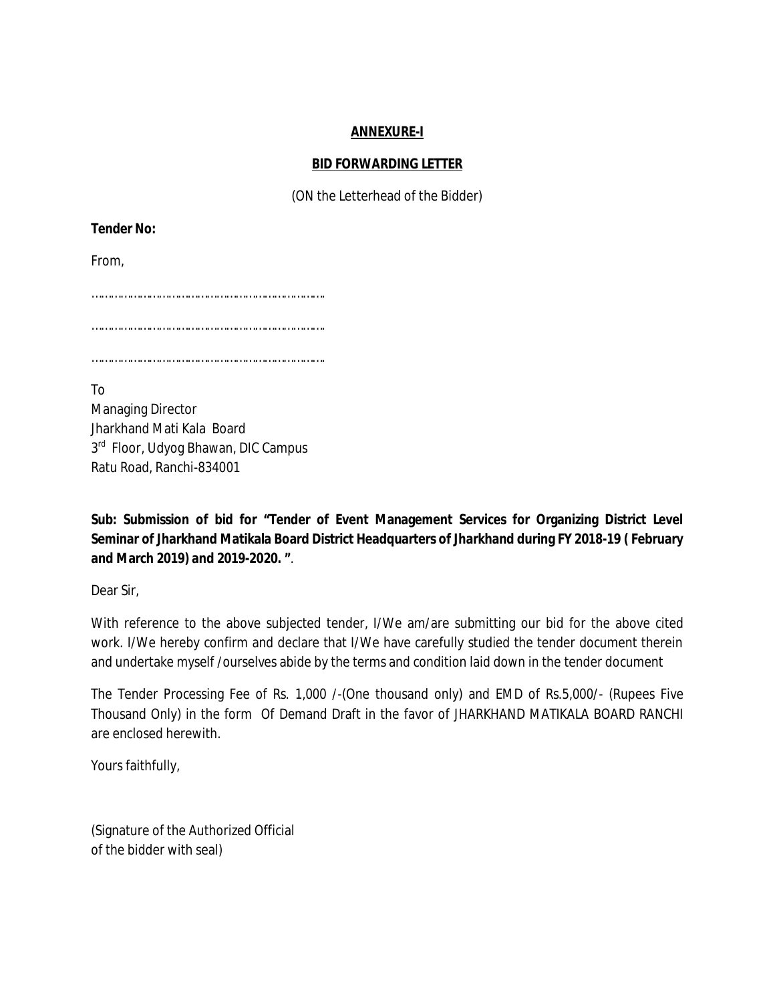## **ANNEXURE-I**

#### **BID FORWARDING LETTER**

(ON the Letterhead of the Bidder)

**Tender No:** 

From,

……………………………………………………………….

……………………………………………………………….

……………………………………………………………….

To Managing Director Jharkhand Mati Kala Board 3<sup>rd</sup> Floor, Udyog Bhawan, DIC Campus Ratu Road, Ranchi-834001

**Sub: Submission of bid for "Tender of Event Management Services for Organizing District Level Seminar of Jharkhand Matikala Board District Headquarters of Jharkhand during FY 2018-19 ( February and March 2019) and 2019-2020. "**.

Dear Sir,

With reference to the above subjected tender, I/We am/are submitting our bid for the above cited work. I/We hereby confirm and declare that I/We have carefully studied the tender document therein and undertake myself /ourselves abide by the terms and condition laid down in the tender document

The Tender Processing Fee of Rs. 1,000 /-(One thousand only) and EMD of Rs.5,000/- (Rupees Five Thousand Only) in the form Of Demand Draft in the favor of JHARKHAND MATIKALA BOARD RANCHI are enclosed herewith.

Yours faithfully,

(Signature of the Authorized Official of the bidder with seal)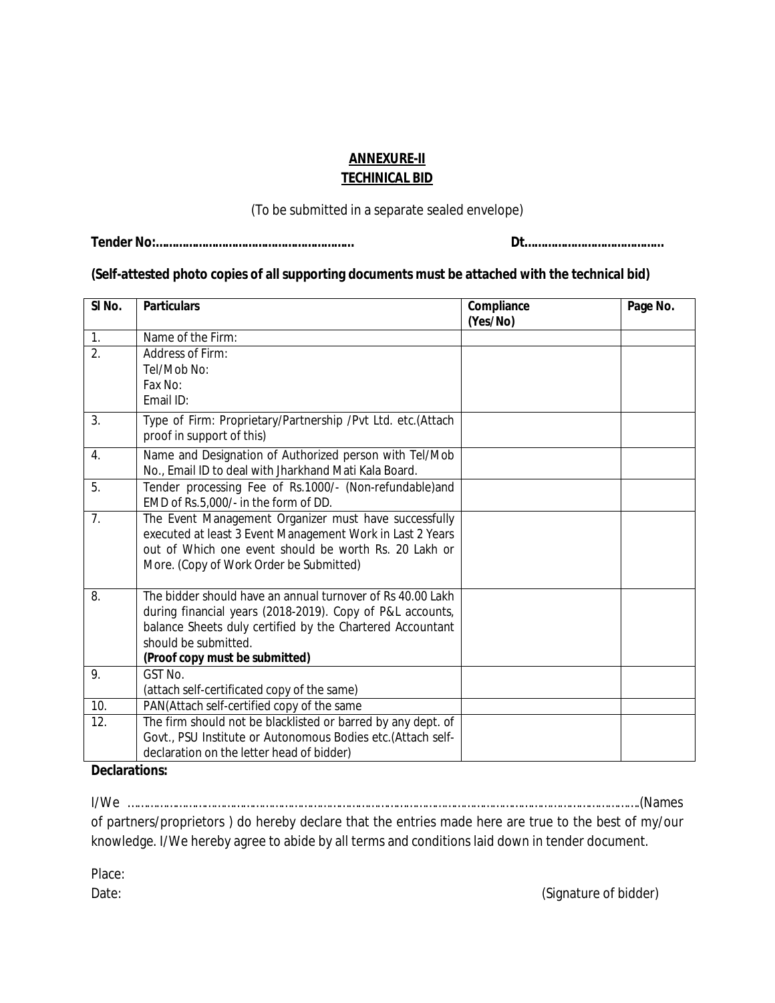## **ANNEXURE-II TECHINICAL BID**

(To be submitted in a separate sealed envelope)

**Tender No:…………………………………………………… Dt……………………………………**

## **(Self-attested photo copies of all supporting documents must be attached with the technical bid)**

| SI <sub>No.</sub> | <b>Particulars</b>                                           | Compliance | Page No. |
|-------------------|--------------------------------------------------------------|------------|----------|
|                   |                                                              | (Yes/No)   |          |
| 1.                | Name of the Firm:                                            |            |          |
| $\overline{2}$ .  | Address of Firm:                                             |            |          |
|                   | Tel/Mob No:                                                  |            |          |
|                   | Fax No:                                                      |            |          |
|                   | Fmail ID:                                                    |            |          |
| 3.                | Type of Firm: Proprietary/Partnership /Pvt Ltd. etc.(Attach  |            |          |
|                   | proof in support of this)                                    |            |          |
| 4.                | Name and Designation of Authorized person with Tel/Mob       |            |          |
|                   | No., Email ID to deal with Jharkhand Mati Kala Board.        |            |          |
| 5.                | Tender processing Fee of Rs.1000/- (Non-refundable)and       |            |          |
|                   | EMD of Rs.5,000/- in the form of DD.                         |            |          |
| 7.                | The Event Management Organizer must have successfully        |            |          |
|                   | executed at least 3 Event Management Work in Last 2 Years    |            |          |
|                   | out of Which one event should be worth Rs. 20 Lakh or        |            |          |
|                   | More. (Copy of Work Order be Submitted)                      |            |          |
|                   |                                                              |            |          |
| 8.                | The bidder should have an annual turnover of Rs 40.00 Lakh   |            |          |
|                   | during financial years (2018-2019). Copy of P&L accounts,    |            |          |
|                   | balance Sheets duly certified by the Chartered Accountant    |            |          |
|                   | should be submitted.                                         |            |          |
|                   | (Proof copy must be submitted)                               |            |          |
| 9.                | GST No.                                                      |            |          |
|                   | (attach self-certificated copy of the same)                  |            |          |
| 10.               | PAN(Attach self-certified copy of the same                   |            |          |
| 12.               | The firm should not be blacklisted or barred by any dept. of |            |          |
|                   | Govt., PSU Institute or Autonomous Bodies etc.(Attach self-  |            |          |
|                   | declaration on the letter head of bidder)                    |            |          |

#### **Declarations:**

I/We …………………………………………………………………………………………………………………………………………….(Names of partners/proprietors ) do hereby declare that the entries made here are true to the best of my/our knowledge. I/We hereby agree to abide by all terms and conditions laid down in tender document.

Place:

Date: (Signature of bidder)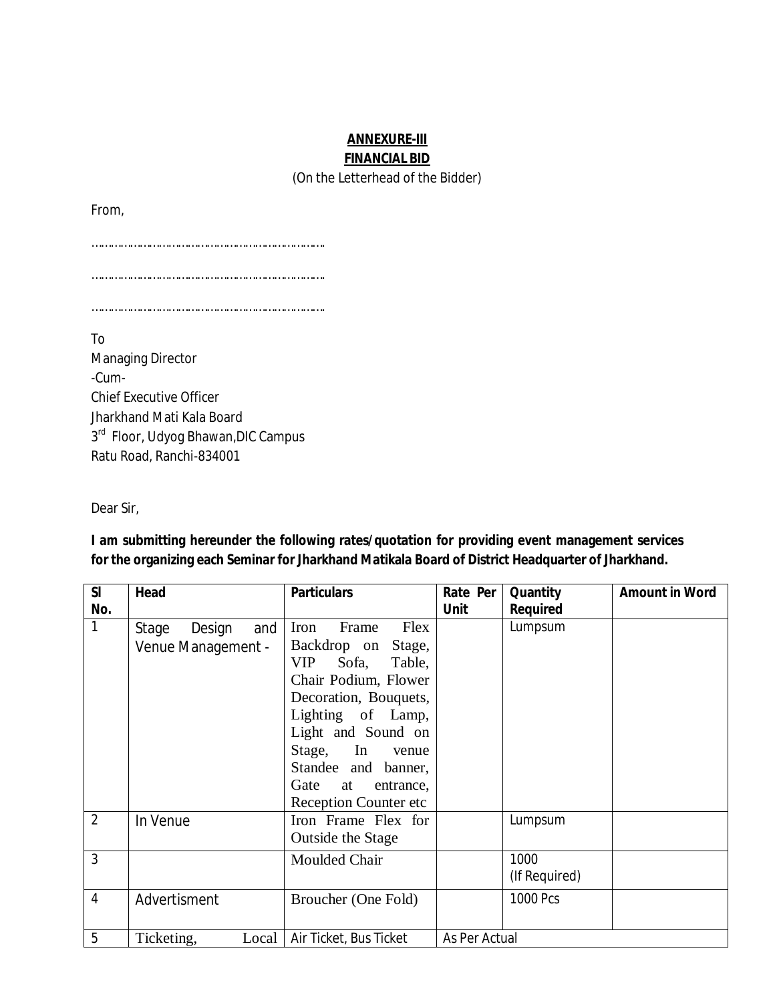# **ANNEXURE-III FINANCIAL BID**

(On the Letterhead of the Bidder)

From,

……………………………………………………………….

……………………………………………………………….

……………………………………………………………….

To Managing Director -Cum-Chief Executive Officer Jharkhand Mati Kala Board 3<sup>rd</sup> Floor, Udyog Bhawan, DIC Campus Ratu Road, Ranchi-834001

Dear Sir,

**I am submitting hereunder the following rates/quotation for providing event management services for the organizing each Seminar for Jharkhand Matikala Board of District Headquarter of Jharkhand.**

| SI             | Head                                         | <b>Particulars</b>                                                                                                                                                                       | Rate Per      | Quantity              | <b>Amount in Word</b> |
|----------------|----------------------------------------------|------------------------------------------------------------------------------------------------------------------------------------------------------------------------------------------|---------------|-----------------------|-----------------------|
| No.            |                                              |                                                                                                                                                                                          | <b>Unit</b>   | <b>Required</b>       |                       |
| 1              | Design<br>and<br>Stage<br>Venue Management - | Iron<br>Frame<br>Flex<br>Backdrop on<br>Stage,<br><b>VIP</b><br>Sofa,<br>Table,<br>Chair Podium, Flower<br>Decoration, Bouquets,<br>Lighting of Lamp,<br>Light and Sound on<br>Stage, In |               | Lumpsum               |                       |
|                |                                              | venue<br>Standee and banner,<br>Gate<br>at<br>entrance,<br><b>Reception Counter etc</b>                                                                                                  |               |                       |                       |
| $\overline{2}$ | In Venue                                     | Iron Frame Flex for<br>Outside the Stage                                                                                                                                                 |               | Lumpsum               |                       |
| 3              |                                              | Moulded Chair                                                                                                                                                                            |               | 1000<br>(If Required) |                       |
| 4              | Advertisment                                 | Broucher (One Fold)                                                                                                                                                                      |               | 1000 Pcs              |                       |
| 5              | Ticketing,<br>Local                          | Air Ticket, Bus Ticket                                                                                                                                                                   | As Per Actual |                       |                       |